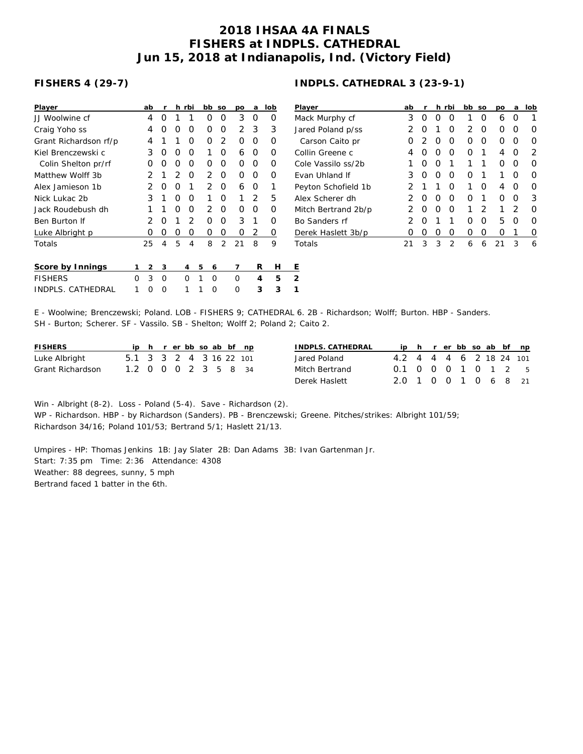## **2018 IHSAA 4A FINALS FISHERS at INDPLS. CATHEDRAL Jun 15, 2018 at Indianapolis, Ind. (Victory Field)**

## **FISHERS 4 (29-7)**

| Player                |   | ab |          |   | h rbi          |   | bb | <b>SO</b>      | po       | a        | lob | P              |
|-----------------------|---|----|----------|---|----------------|---|----|----------------|----------|----------|-----|----------------|
| JJ Woolwine cf        |   | 4  | Ω        | 1 | 1              |   | O  | O              | 3        | O        | O   | N              |
| Craig Yoho ss         |   | 4  | Ω        | O | O              |   | Ο  | O              | 2        | 3        | 3   | J.             |
| Grant Richardson rf/p |   | 4  | 1        | 1 | O              |   | Ο  | 2              | O        | O        | Ο   |                |
| Kiel Brenczewski c    |   | 3  | Ο        | O | O              |   | 1  | Ω              | 6        | O        | Ο   | C              |
| Colin Shelton pr/rf   |   | Ω  | Ω        | O | O              |   | Ο  | 0              | O        | O        | Ο   | C              |
| Matthew Wolff 3b      |   | 2  | 1        | 2 | O              |   | 2  | 0              | O        | O        | Ω   | E              |
| Alex Jamieson 1b      |   | 2  | Ο        | O | 1              |   | 2  | O              | 6        | O        | 1   | P              |
| Nick Lukac 2b         |   | 3  | 1        | O | O              |   | 1  | 0              | 1        | 2        | 5   | А              |
| Jack Roudebush dh     |   | 1  | 1        | O | $\Omega$       |   | 2  | $\Omega$       | $\Omega$ | $\Omega$ | O   | N              |
| Ben Burton If         |   | 2  | O        | 1 | $\overline{2}$ |   | Ο  | O              | 3        | 1        | Ο   | B              |
| Luke Albright p       |   | Ω  | O        | 0 | 0              |   | 0  | 0              | 0        | 2        | 0   | $\overline{L}$ |
| Totals                |   | 25 | 4        | 5 | 4              |   | 8  | $\overline{2}$ | 21       | 8        | 9   | Τ              |
| Score by Innings      | 1 | 2  | 3        |   | 4              | 5 | 6  |                | 7        | R        | Н   | Ε              |
| <b>FISHERS</b>        | Ω | 3  | $\Omega$ |   | O              | 1 | O  |                | O        | 4        | 5   | 2              |
| INDPLS. CATHEDRAL     |   | ∩  | Ω        |   | 1              | 1 | Ω  |                | Ω        | 3        | 3   | 1              |

## **INDPLS. CATHEDRAL 3 (23-9-1)**

| Player                | ab | r                |                  | h rbi | bb | <b>SO</b> | pо | a                | lob |
|-----------------------|----|------------------|------------------|-------|----|-----------|----|------------------|-----|
| Mack Murphy cf        | 3  | $\left( \right)$ | $\left( \right)$ | O     | 1  | Ω         | 6  | $\left( \right)$ |     |
| Jared Poland p/ss     | 2  | O                | 1                | O     | 2  | Ω         | Ω  | O                | Ω   |
| Carson Caito pr       | Ω  | 2                | Ω                | O     | Ω  | ∩         | Ω  | Ω                | O   |
| Collin Greene c       | 4  | O                | O                | O     | Ω  | 1         | 4  | O                | 2   |
| Cole Vassilo ss/2b    | 1  | O                | ∩                | 1     | 1  | 1         | Ω  | O                | Ω   |
| <b>Evan Uhland If</b> | 3  | $\left( \right)$ | ∩                | O     | Ω  | 1         | 1  | ∩                | Ω   |
| Peyton Schofield 1b   | 2  | 1                | 1                | O     | 1  | Ω         | 4  | Ω                | O   |
| Alex Scherer dh       | っ  | O                | Ω                | O     | Ω  | 1         | Ω  | O                | 3   |
| Mitch Bertrand 2b/p   | 2  | O                | ∩                | O     | 1  | 2         | 1  | $\mathcal{P}$    | Ω   |
| Bo Sanders rf         | っ  | O                | 1                | 1     | Ω  | ∩         | 5  | O                | Ω   |
| Derek Haslett 3b/p    | Ω  | Ω                | Ω                | O     | Ω  | Ω         | Ω  | 1                | 0   |
| Totals                |    | 3                | 3                | っ     | 6  | 6         | 21 | 3                | 6   |

E - Woolwine; Brenczewski; Poland. LOB - FISHERS 9; CATHEDRAL 6. 2B - Richardson; Wolff; Burton. HBP - Sanders. SH - Burton; Scherer. SF - Vassilo. SB - Shelton; Wolff 2; Poland 2; Caito 2.

| <b>FISHERS</b>   |                         |  |  |  | ip h r er bb so ab bf np |  | INDPLS. CATHEDRAL |                         |  |  |  | ip h r er bb so ab bf np |
|------------------|-------------------------|--|--|--|--------------------------|--|-------------------|-------------------------|--|--|--|--------------------------|
| Luke Albright    | 5.1 3 3 2 4 3 16 22 101 |  |  |  |                          |  | Jared Poland      | 4.2 4 4 4 6 2 18 24 101 |  |  |  |                          |
| Grant Richardson | 1.2 0 0 0 2 3 5 8 34    |  |  |  |                          |  | Mitch Bertrand    | 0.1 0 0 0 1 0 1 2 5     |  |  |  |                          |
|                  |                         |  |  |  |                          |  | Derek Haslett     | 2.0 1 0 0 1 0 6 8 21    |  |  |  |                          |

Win - Albright (8-2). Loss - Poland (5-4). Save - Richardson (2).

WP - Richardson. HBP - by Richardson (Sanders). PB - Brenczewski; Greene. Pitches/strikes: Albright 101/59; Richardson 34/16; Poland 101/53; Bertrand 5/1; Haslett 21/13.

Umpires - HP: Thomas Jenkins 1B: Jay Slater 2B: Dan Adams 3B: Ivan Gartenman Jr. Start: 7:35 pm Time: 2:36 Attendance: 4308 Weather: 88 degrees, sunny, 5 mph Bertrand faced 1 batter in the 6th.